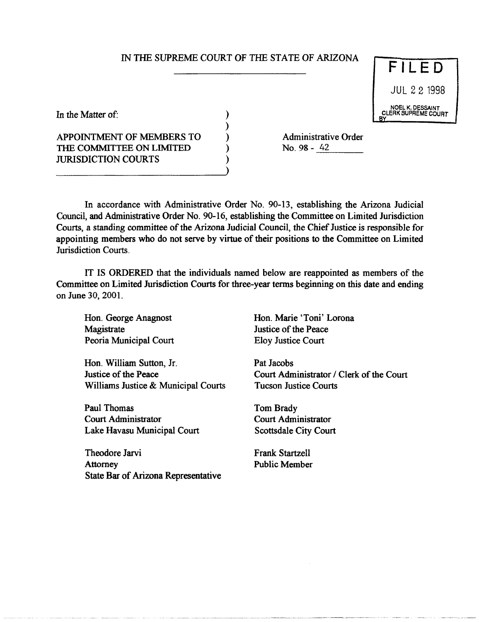## IN THE SUPREME COURT OF THE STATE OF ARIZONA

) ) ) ) ) )

**FILED** JUL 22 1998 NOEL K. DESSAINT CLERK SUPREME COURT

In the Matter of:

APPOINTMENT OF MEMBERS TO THE COMMITTEE ON LIMITED JURISDICTION COURTS

Administrative Order<br>No. 98 - <u>42</u>

In accordance with Administrative Order No. 90-13, establishing the Arizona Judicial Council, and Administrative Order No. 90-16, establishing the Committee on Limited Jurisdiction Courts, a standing committee of the Arizona Judicial Council, the Chief Justice is responsible for appointing members who do not serve by virtue of their positions to the Committee on Limited Jurisdiction Courts.

IT IS ORDERED that the individuals named below are reappointed as members of the Committee on Limited Jurisdiction Courts for three-year terms beginning on this date and ending on June 30,2001.

Hon. George Anagnost **Magistrate** Peoria Municipal Court

Hon. William Sutton, Jr. Justice of the Peace Williams Justice & Municipal Courts

Paul Thomas Court Administrator Lake Havasu Municipal Court

Theodore Jarvi **Attorney** State Bar of Arizona Representative Hon. Marie 'Toni' Lorona Justice of the Peace Eloy Justice Court

Pat Jacobs Court Administrator / Clerk of the Court Tucson Justice Courts

Tom Brady Court Administrator Scottsdale City Court

Frank Startzell Public Member